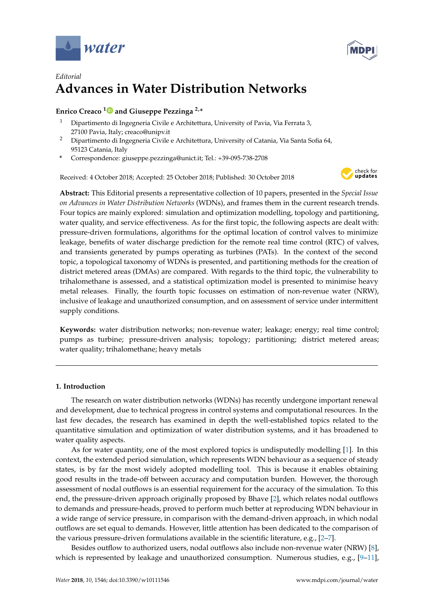



# *Editorial* **Advances in Water Distribution Networks**

# **Enrico Creaco [1](https://orcid.org/0000-0003-4422-2417) and Giuseppe Pezzinga 2,\***

- Dipartimento di Ingegneria Civile e Architettura, University of Pavia, Via Ferrata 3, 27100 Pavia, Italy; creaco@unipv.it
- <sup>2</sup> Dipartimento di Ingegneria Civile e Architettura, University of Catania, Via Santa Sofia 64, 95123 Catania, Italy
- **\*** Correspondence: giuseppe.pezzinga@unict.it; Tel.: +39-095-738-2708

Received: 4 October 2018; Accepted: 25 October 2018; Published: 30 October 2018



**Abstract:** This Editorial presents a representative collection of 10 papers, presented in the *Special Issue on Advances in Water Distribution Networks* (WDNs), and frames them in the current research trends. Four topics are mainly explored: simulation and optimization modelling, topology and partitioning, water quality, and service effectiveness. As for the first topic, the following aspects are dealt with: pressure-driven formulations, algorithms for the optimal location of control valves to minimize leakage, benefits of water discharge prediction for the remote real time control (RTC) of valves, and transients generated by pumps operating as turbines (PATs). In the context of the second topic, a topological taxonomy of WDNs is presented, and partitioning methods for the creation of district metered areas (DMAs) are compared. With regards to the third topic, the vulnerability to trihalomethane is assessed, and a statistical optimization model is presented to minimise heavy metal releases. Finally, the fourth topic focusses on estimation of non-revenue water (NRW), inclusive of leakage and unauthorized consumption, and on assessment of service under intermittent supply conditions.

**Keywords:** water distribution networks; non-revenue water; leakage; energy; real time control; pumps as turbine; pressure-driven analysis; topology; partitioning; district metered areas; water quality; trihalomethane; heavy metals

# **1. Introduction**

The research on water distribution networks (WDNs) has recently undergone important renewal and development, due to technical progress in control systems and computational resources. In the last few decades, the research has examined in depth the well-established topics related to the quantitative simulation and optimization of water distribution systems, and it has broadened to water quality aspects.

As for water quantity, one of the most explored topics is undisputedly modelling [\[1\]](#page-5-0). In this context, the extended period simulation, which represents WDN behaviour as a sequence of steady states, is by far the most widely adopted modelling tool. This is because it enables obtaining good results in the trade-off between accuracy and computation burden. However, the thorough assessment of nodal outflows is an essential requirement for the accuracy of the simulation. To this end, the pressure-driven approach originally proposed by Bhave [\[2\]](#page-5-1), which relates nodal outflows to demands and pressure-heads, proved to perform much better at reproducing WDN behaviour in a wide range of service pressure, in comparison with the demand-driven approach, in which nodal outflows are set equal to demands. However, little attention has been dedicated to the comparison of the various pressure-driven formulations available in the scientific literature, e.g., [\[2](#page-5-1)[–7\]](#page-5-2).

Besides outflow to authorized users, nodal outflows also include non-revenue water (NRW) [\[8\]](#page-5-3), which is represented by leakage and unauthorized consumption. Numerous studies, e.g., [\[9](#page-5-4)[–11\]](#page-5-5),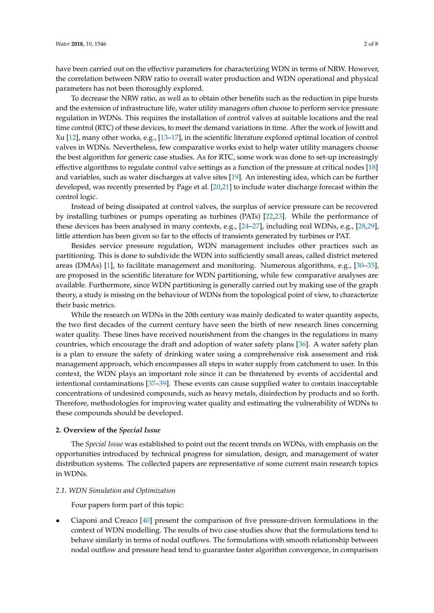have been carried out on the effective parameters for characterizing WDN in terms of NRW. However, the correlation between NRW ratio to overall water production and WDN operational and physical parameters has not been thoroughly explored.

To decrease the NRW ratio, as well as to obtain other benefits such as the reduction in pipe bursts and the extension of infrastructure life, water utility managers often choose to perform service pressure regulation in WDNs. This requires the installation of control valves at suitable locations and the real time control (RTC) of these devices, to meet the demand variations in time. After the work of Jowitt and Xu [\[12\]](#page-5-6), many other works, e.g., [\[13](#page-5-7)[–17\]](#page-5-8), in the scientific literature explored optimal location of control valves in WDNs. Nevertheless, few comparative works exist to help water utility managers choose the best algorithm for generic case studies. As for RTC, some work was done to set-up increasingly effective algorithms to regulate control valve settings as a function of the pressure at critical nodes [\[18\]](#page-5-9) and variables, such as water discharges at valve sites [\[19\]](#page-5-10). An interesting idea, which can be further developed, was recently presented by Page et al. [\[20](#page-5-11)[,21\]](#page-5-12) to include water discharge forecast within the control logic.

Instead of being dissipated at control valves, the surplus of service pressure can be recovered by installing turbines or pumps operating as turbines (PATs) [\[22,](#page-5-13)[23\]](#page-5-14). While the performance of these devices has been analysed in many contexts, e.g., [\[24](#page-6-0)[–27\]](#page-6-1), including real WDNs, e.g., [\[28,](#page-6-2)[29\]](#page-6-3), little attention has been given so far to the effects of transients generated by turbines or PAT.

Besides service pressure regulation, WDN management includes other practices such as partitioning. This is done to subdivide the WDN into sufficiently small areas, called district metered areas (DMAs) [\[1\]](#page-5-0), to facilitate management and monitoring. Numerous algorithms, e.g., [\[30](#page-6-4)[–35\]](#page-6-5), are proposed in the scientific literature for WDN partitioning, while few comparative analyses are available. Furthermore, since WDN partitioning is generally carried out by making use of the graph theory, a study is missing on the behaviour of WDNs from the topological point of view, to characterize their basic metrics.

While the research on WDNs in the 20th century was mainly dedicated to water quantity aspects, the two first decades of the current century have seen the birth of new research lines concerning water quality. These lines have received nourishment from the changes in the regulations in many countries, which encourage the draft and adoption of water safety plans [\[36\]](#page-6-6). A water safety plan is a plan to ensure the safety of drinking water using a comprehensive risk assessment and risk management approach, which encompasses all steps in water supply from catchment to user. In this context, the WDN plays an important role since it can be threatened by events of accidental and intentional contaminations [\[37](#page-6-7)[–39\]](#page-6-8). These events can cause supplied water to contain inacceptable concentrations of undesired compounds, such as heavy metals, disinfection by products and so forth. Therefore, methodologies for improving water quality and estimating the vulnerability of WDNs to these compounds should be developed.

#### **2. Overview of the** *Special Issue*

The *Special Issue* was established to point out the recent trends on WDNs, with emphasis on the opportunities introduced by technical progress for simulation, design, and management of water distribution systems. The collected papers are representative of some current main research topics in WDNs.

#### *2.1. WDN Simulation and Optimization*

Four papers form part of this topic:

• Ciaponi and Creaco [\[40\]](#page-6-9) present the comparison of five pressure-driven formulations in the context of WDN modelling. The results of two case studies show that the formulations tend to behave similarly in terms of nodal outflows. The formulations with smooth relationship between nodal outflow and pressure head tend to guarantee faster algorithm convergence, in comparison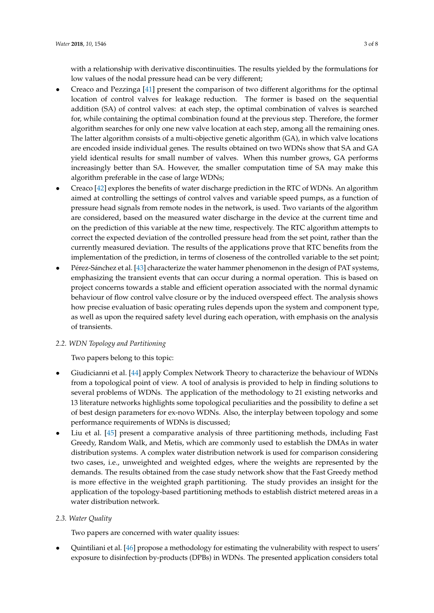with a relationship with derivative discontinuities. The results yielded by the formulations for low values of the nodal pressure head can be very different;

- Creaco and Pezzinga [\[41\]](#page-6-10) present the comparison of two different algorithms for the optimal location of control valves for leakage reduction. The former is based on the sequential addition (SA) of control valves: at each step, the optimal combination of valves is searched for, while containing the optimal combination found at the previous step. Therefore, the former algorithm searches for only one new valve location at each step, among all the remaining ones. The latter algorithm consists of a multi-objective genetic algorithm (GA), in which valve locations are encoded inside individual genes. The results obtained on two WDNs show that SA and GA yield identical results for small number of valves. When this number grows, GA performs increasingly better than SA. However, the smaller computation time of SA may make this algorithm preferable in the case of large WDNs;
- Creaco [\[42\]](#page-6-11) explores the benefits of water discharge prediction in the RTC of WDNs. An algorithm aimed at controlling the settings of control valves and variable speed pumps, as a function of pressure head signals from remote nodes in the network, is used. Two variants of the algorithm are considered, based on the measured water discharge in the device at the current time and on the prediction of this variable at the new time, respectively. The RTC algorithm attempts to correct the expected deviation of the controlled pressure head from the set point, rather than the currently measured deviation. The results of the applications prove that RTC benefits from the implementation of the prediction, in terms of closeness of the controlled variable to the set point;
- Pérez-Sánchez et al. [\[43\]](#page-6-12) characterize the water hammer phenomenon in the design of PAT systems, emphasizing the transient events that can occur during a normal operation. This is based on project concerns towards a stable and efficient operation associated with the normal dynamic behaviour of flow control valve closure or by the induced overspeed effect. The analysis shows how precise evaluation of basic operating rules depends upon the system and component type, as well as upon the required safety level during each operation, with emphasis on the analysis of transients.

# *2.2. WDN Topology and Partitioning*

Two papers belong to this topic:

- Giudicianni et al. [\[44\]](#page-6-13) apply Complex Network Theory to characterize the behaviour of WDNs from a topological point of view. A tool of analysis is provided to help in finding solutions to several problems of WDNs. The application of the methodology to 21 existing networks and 13 literature networks highlights some topological peculiarities and the possibility to define a set of best design parameters for ex-novo WDNs. Also, the interplay between topology and some performance requirements of WDNs is discussed;
- Liu et al. [\[45\]](#page-6-14) present a comparative analysis of three partitioning methods, including Fast Greedy, Random Walk, and Metis, which are commonly used to establish the DMAs in water distribution systems. A complex water distribution network is used for comparison considering two cases, i.e., unweighted and weighted edges, where the weights are represented by the demands. The results obtained from the case study network show that the Fast Greedy method is more effective in the weighted graph partitioning. The study provides an insight for the application of the topology-based partitioning methods to establish district metered areas in a water distribution network.

# *2.3. Water Quality*

Two papers are concerned with water quality issues:

• Quintiliani et al. [\[46\]](#page-6-15) propose a methodology for estimating the vulnerability with respect to users' exposure to disinfection by-products (DPBs) in WDNs. The presented application considers total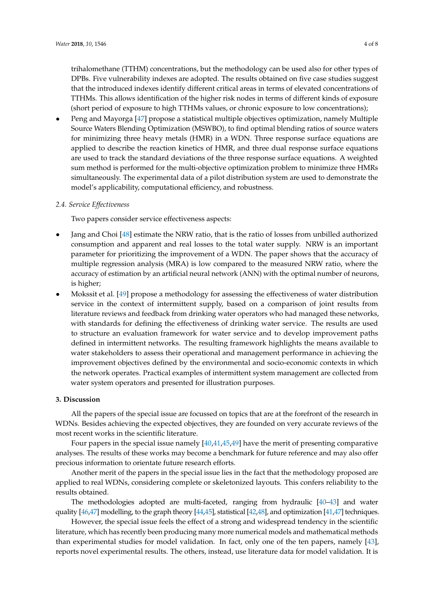trihalomethane (TTHM) concentrations, but the methodology can be used also for other types of DPBs. Five vulnerability indexes are adopted. The results obtained on five case studies suggest that the introduced indexes identify different critical areas in terms of elevated concentrations of TTHMs. This allows identification of the higher risk nodes in terms of different kinds of exposure (short period of exposure to high TTHMs values, or chronic exposure to low concentrations);

• Peng and Mayorga [\[47\]](#page-6-16) propose a statistical multiple objectives optimization, namely Multiple Source Waters Blending Optimization (MSWBO), to find optimal blending ratios of source waters for minimizing three heavy metals (HMR) in a WDN. Three response surface equations are applied to describe the reaction kinetics of HMR, and three dual response surface equations are used to track the standard deviations of the three response surface equations. A weighted sum method is performed for the multi-objective optimization problem to minimize three HMRs simultaneously. The experimental data of a pilot distribution system are used to demonstrate the model's applicability, computational efficiency, and robustness.

#### *2.4. Service Effectiveness*

Two papers consider service effectiveness aspects:

- Jang and Choi [\[48\]](#page-7-0) estimate the NRW ratio, that is the ratio of losses from unbilled authorized consumption and apparent and real losses to the total water supply. NRW is an important parameter for prioritizing the improvement of a WDN. The paper shows that the accuracy of multiple regression analysis (MRA) is low compared to the measured NRW ratio, where the accuracy of estimation by an artificial neural network (ANN) with the optimal number of neurons, is higher;
- Mokssit et al. [\[49\]](#page-7-1) propose a methodology for assessing the effectiveness of water distribution service in the context of intermittent supply, based on a comparison of joint results from literature reviews and feedback from drinking water operators who had managed these networks, with standards for defining the effectiveness of drinking water service. The results are used to structure an evaluation framework for water service and to develop improvement paths defined in intermittent networks. The resulting framework highlights the means available to water stakeholders to assess their operational and management performance in achieving the improvement objectives defined by the environmental and socio-economic contexts in which the network operates. Practical examples of intermittent system management are collected from water system operators and presented for illustration purposes.

#### **3. Discussion**

All the papers of the special issue are focussed on topics that are at the forefront of the research in WDNs. Besides achieving the expected objectives, they are founded on very accurate reviews of the most recent works in the scientific literature.

Four papers in the special issue namely  $[40,41,45,49]$  $[40,41,45,49]$  $[40,41,45,49]$  $[40,41,45,49]$  have the merit of presenting comparative analyses. The results of these works may become a benchmark for future reference and may also offer precious information to orientate future research efforts.

Another merit of the papers in the special issue lies in the fact that the methodology proposed are applied to real WDNs, considering complete or skeletonized layouts. This confers reliability to the results obtained.

The methodologies adopted are multi-faceted, ranging from hydraulic [\[40](#page-6-9)[–43\]](#page-6-12) and water quality [\[46,](#page-6-15)[47\]](#page-6-16) modelling, to the graph theory [\[44](#page-6-13)[,45\]](#page-6-14), statistical [\[42,](#page-6-11)[48\]](#page-7-0), and optimization [\[41,](#page-6-10)47] techniques.

However, the special issue feels the effect of a strong and widespread tendency in the scientific literature, which has recently been producing many more numerical models and mathematical methods than experimental studies for model validation. In fact, only one of the ten papers, namely [\[43\]](#page-6-12), reports novel experimental results. The others, instead, use literature data for model validation. It is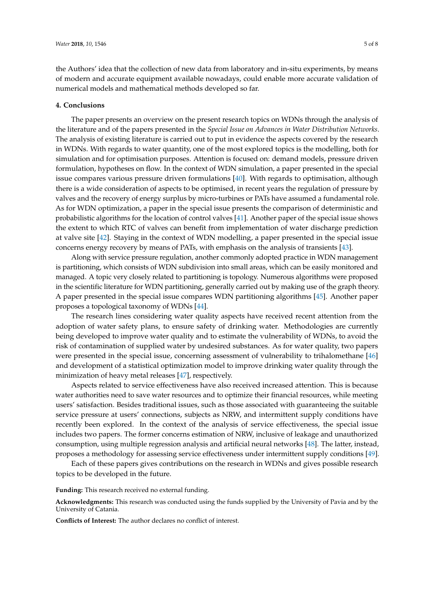the Authors' idea that the collection of new data from laboratory and in-situ experiments, by means of modern and accurate equipment available nowadays, could enable more accurate validation of numerical models and mathematical methods developed so far.

#### **4. Conclusions**

The paper presents an overview on the present research topics on WDNs through the analysis of the literature and of the papers presented in the *Special Issue on Advances in Water Distribution Networks*. The analysis of existing literature is carried out to put in evidence the aspects covered by the research in WDNs. With regards to water quantity, one of the most explored topics is the modelling, both for simulation and for optimisation purposes. Attention is focused on: demand models, pressure driven formulation, hypotheses on flow. In the context of WDN simulation, a paper presented in the special issue compares various pressure driven formulations [\[40\]](#page-6-9). With regards to optimisation, although there is a wide consideration of aspects to be optimised, in recent years the regulation of pressure by valves and the recovery of energy surplus by micro-turbines or PATs have assumed a fundamental role. As for WDN optimization, a paper in the special issue presents the comparison of deterministic and probabilistic algorithms for the location of control valves [\[41\]](#page-6-10). Another paper of the special issue shows the extent to which RTC of valves can benefit from implementation of water discharge prediction at valve site [\[42\]](#page-6-11). Staying in the context of WDN modelling, a paper presented in the special issue concerns energy recovery by means of PATs, with emphasis on the analysis of transients [\[43\]](#page-6-12).

Along with service pressure regulation, another commonly adopted practice in WDN management is partitioning, which consists of WDN subdivision into small areas, which can be easily monitored and managed. A topic very closely related to partitioning is topology. Numerous algorithms were proposed in the scientific literature for WDN partitioning, generally carried out by making use of the graph theory. A paper presented in the special issue compares WDN partitioning algorithms [\[45\]](#page-6-14). Another paper proposes a topological taxonomy of WDNs [\[44\]](#page-6-13).

The research lines considering water quality aspects have received recent attention from the adoption of water safety plans, to ensure safety of drinking water. Methodologies are currently being developed to improve water quality and to estimate the vulnerability of WDNs, to avoid the risk of contamination of supplied water by undesired substances. As for water quality, two papers were presented in the special issue, concerning assessment of vulnerability to trihalomethane [\[46\]](#page-6-15) and development of a statistical optimization model to improve drinking water quality through the minimization of heavy metal releases [\[47\]](#page-6-16), respectively.

Aspects related to service effectiveness have also received increased attention. This is because water authorities need to save water resources and to optimize their financial resources, while meeting users' satisfaction. Besides traditional issues, such as those associated with guaranteeing the suitable service pressure at users' connections, subjects as NRW, and intermittent supply conditions have recently been explored. In the context of the analysis of service effectiveness, the special issue includes two papers. The former concerns estimation of NRW, inclusive of leakage and unauthorized consumption, using multiple regression analysis and artificial neural networks [\[48\]](#page-7-0). The latter, instead, proposes a methodology for assessing service effectiveness under intermittent supply conditions [\[49\]](#page-7-1).

Each of these papers gives contributions on the research in WDNs and gives possible research topics to be developed in the future.

**Funding:** This research received no external funding.

**Acknowledgments:** This research was conducted using the funds supplied by the University of Pavia and by the University of Catania.

**Conflicts of Interest:** The author declares no conflict of interest.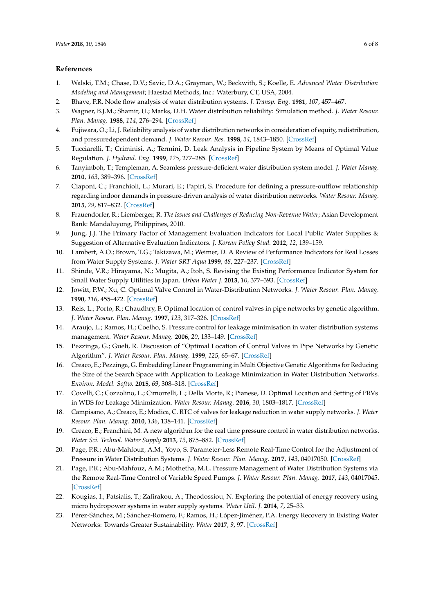# **References**

- <span id="page-5-0"></span>1. Walski, T.M.; Chase, D.V.; Savic, D.A.; Grayman, W.; Beckwith, S.; Koelle, E. *Advanced Water Distribution Modeling and Management*; Haestad Methods, Inc.: Waterbury, CT, USA, 2004.
- <span id="page-5-1"></span>2. Bhave, P.R. Node flow analysis of water distribution systems. *J. Transp. Eng.* **1981**, *107*, 457–467.
- 3. Wagner, B.J.M.; Shamir, U.; Marks, D.H. Water distribution reliability: Simulation method. *J. Water Resour. Plan. Manag.* **1988**, *114*, 276–294. [\[CrossRef\]](http://dx.doi.org/10.1061/(ASCE)0733-9496(1988)114:3(276))
- 4. Fujiwara, O.; Li, J. Reliability analysis of water distribution networks in consideration of equity, redistribution, and pressuredependent demand. *J. Water Resour. Res.* **1998**, *34*, 1843–1850. [\[CrossRef\]](http://dx.doi.org/10.1029/98WR00908)
- 5. Tucciarelli, T.; Criminisi, A.; Termini, D. Leak Analysis in Pipeline System by Means of Optimal Value Regulation. *J. Hydraul. Eng.* **1999**, *125*, 277–285. [\[CrossRef\]](http://dx.doi.org/10.1061/(ASCE)0733-9429(1999)125:3(277))
- 6. Tanyimboh, T.; Templeman, A. Seamless pressure-deficient water distribution system model. *J. Water Manag.* **2010**, *163*, 389–396. [\[CrossRef\]](http://dx.doi.org/10.1680/wama.900013)
- <span id="page-5-2"></span>7. Ciaponi, C.; Franchioli, L.; Murari, E.; Papiri, S. Procedure for defining a pressure-outflow relationship regarding indoor demands in pressure-driven analysis of water distribution networks. *Water Resour. Manag.* **2015**, *29*, 817–832. [\[CrossRef\]](http://dx.doi.org/10.1007/s11269-014-0845-2)
- <span id="page-5-3"></span>8. Frauendorfer, R.; Liemberger, R. *The Issues and Challenges of Reducing Non-Revenue Water*; Asian Development Bank: Mandaluyong, Philippines, 2010.
- <span id="page-5-4"></span>9. Jung, J.J. The Primary Factor of Management Evaluation Indicators for Local Public Water Supplies & Suggestion of Alternative Evaluation Indicators. *J. Korean Policy Stud.* **2012**, *12*, 139–159.
- 10. Lambert, A.O.; Brown, T.G.; Takizawa, M.; Weimer, D. A Review of Performance Indicators for Real Losses from Water Supply Systems. *J. Water SRT Aqua* **1999**, *48*, 227–237. [\[CrossRef\]](http://dx.doi.org/10.2166/aqua.1999.0025)
- <span id="page-5-5"></span>11. Shinde, V.R.; Hirayama, N.; Mugita, A.; Itoh, S. Revising the Existing Performance Indicator System for Small Water Supply Utilities in Japan. *Urban Water J.* **2013**, *10*, 377–393. [\[CrossRef\]](http://dx.doi.org/10.1080/1573062X.2012.739628)
- <span id="page-5-6"></span>12. Jowitt, P.W.; Xu, C. Optimal Valve Control in Water-Distribution Networks. *J. Water Resour. Plan. Manag.* **1990**, *116*, 455–472. [\[CrossRef\]](http://dx.doi.org/10.1061/(ASCE)0733-9496(1990)116:4(455))
- <span id="page-5-7"></span>13. Reis, L.; Porto, R.; Chaudhry, F. Optimal location of control valves in pipe networks by genetic algorithm. *J. Water Resour. Plan. Manag.* **1997**, *123*, 317–326. [\[CrossRef\]](http://dx.doi.org/10.1061/(ASCE)0733-9496(1997)123:6(317))
- 14. Araujo, L.; Ramos, H.; Coelho, S. Pressure control for leakage minimisation in water distribution systems management. *Water Resour. Manag.* **2006**, *20*, 133–149. [\[CrossRef\]](http://dx.doi.org/10.1007/s11269-006-4635-3)
- 15. Pezzinga, G.; Gueli, R. Discussion of "Optimal Location of Control Valves in Pipe Networks by Genetic Algorithm". *J. Water Resour. Plan. Manag.* **1999**, *125*, 65–67. [\[CrossRef\]](http://dx.doi.org/10.1061/(ASCE)0733-9496(1999)125:1(65))
- 16. Creaco, E.; Pezzinga, G. Embedding Linear Programming in Multi Objective Genetic Algorithms for Reducing the Size of the Search Space with Application to Leakage Minimization in Water Distribution Networks. *Environ. Model. Softw.* **2015**, *69*, 308–318. [\[CrossRef\]](http://dx.doi.org/10.1016/j.envsoft.2014.10.013)
- <span id="page-5-8"></span>17. Covelli, C.; Cozzolino, L.; Cimorrelli, L.; Della Morte, R.; Pianese, D. Optimal Location and Setting of PRVs in WDS for Leakage Minimization. *Water Resour. Manag.* **2016**, *30*, 1803–1817. [\[CrossRef\]](http://dx.doi.org/10.1007/s11269-016-1252-7)
- <span id="page-5-9"></span>18. Campisano, A.; Creaco, E.; Modica, C. RTC of valves for leakage reduction in water supply networks. *J. Water Resour. Plan. Manag.* **2010**, *136*, 138–141. [\[CrossRef\]](http://dx.doi.org/10.1061/(ASCE)0733-9496(2010)136:1(138))
- <span id="page-5-10"></span>19. Creaco, E.; Franchini, M. A new algorithm for the real time pressure control in water distribution networks. *Water Sci. Technol. Water Supply* **2013**, *13*, 875–882. [\[CrossRef\]](http://dx.doi.org/10.2166/ws.2013.074)
- <span id="page-5-11"></span>20. Page, P.R.; Abu-Mahfouz, A.M.; Yoyo, S. Parameter-Less Remote Real-Time Control for the Adjustment of Pressure in Water Distribution Systems. *J. Water Resour. Plan. Manag.* **2017**, *143*, 04017050. [\[CrossRef\]](http://dx.doi.org/10.1061/(ASCE)WR.1943-5452.0000805)
- <span id="page-5-12"></span>21. Page, P.R.; Abu-Mahfouz, A.M.; Mothetha, M.L. Pressure Management of Water Distribution Systems via the Remote Real-Time Control of Variable Speed Pumps. *J. Water Resour. Plan. Manag.* **2017**, *143*, 04017045. [\[CrossRef\]](http://dx.doi.org/10.1061/(ASCE)WR.1943-5452.0000807)
- <span id="page-5-13"></span>22. Kougias, I.; Patsialis, T.; Zafirakou, A.; Theodossiou, N. Exploring the potential of energy recovery using micro hydropower systems in water supply systems. *Water Util. J.* **2014**, *7*, 25–33.
- <span id="page-5-14"></span>23. Pérez-Sánchez, M.; Sánchez-Romero, F.; Ramos, H.; López-Jiménez, P.A. Energy Recovery in Existing Water Networks: Towards Greater Sustainability. *Water* **2017**, *9*, 97. [\[CrossRef\]](http://dx.doi.org/10.3390/w9020097)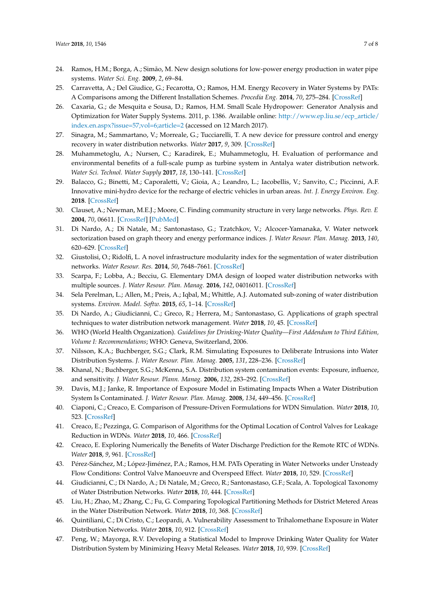- <span id="page-6-0"></span>24. Ramos, H.M.; Borga, A.; Simão, M. New design solutions for low-power energy production in water pipe systems. *Water Sci. Eng.* **2009**, *2*, 69–84.
- 25. Carravetta, A.; Del Giudice, G.; Fecarotta, O.; Ramos, H.M. Energy Recovery in Water Systems by PATs: A Comparisons among the Different Installation Schemes. *Procedia Eng.* **2014**, *70*, 275–284. [\[CrossRef\]](http://dx.doi.org/10.1016/j.proeng.2014.02.031)
- 26. Caxaria, G.; de Mesquita e Sousa, D.; Ramos, H.M. Small Scale Hydropower: Generator Analysis and Optimization for Water Supply Systems. 2011, p. 1386. Available online: [http://www.ep.liu.se/ecp\\_article/](http://www.ep.liu.se/ecp_article/index.en.aspx?issue=57;vol=6;article=2) [index.en.aspx?issue=57;vol=6;article=2](http://www.ep.liu.se/ecp_article/index.en.aspx?issue=57;vol=6;article=2) (accessed on 12 March 2017).
- <span id="page-6-1"></span>27. Sinagra, M.; Sammartano, V.; Morreale, G.; Tucciarelli, T. A new device for pressure control and energy recovery in water distribution networks. *Water* **2017**, *9*, 309. [\[CrossRef\]](http://dx.doi.org/10.3390/w9050309)
- <span id="page-6-2"></span>28. Muhammetoglu, A.; Nursen, C.; Karadirek, E.; Muhammetoglu, H. Evaluation of performance and environmental benefits of a full-scale pump as turbine system in Antalya water distribution network. *Water Sci. Technol. Water Supply* **2017**, *18*, 130–141. [\[CrossRef\]](http://dx.doi.org/10.2166/ws.2017.087)
- <span id="page-6-3"></span>29. Balacco, G.; Binetti, M.; Caporaletti, V.; Gioia, A.; Leandro, L.; Iacobellis, V.; Sanvito, C.; Piccinni, A.F. Innovative mini-hydro device for the recharge of electric vehicles in urban areas. *Int. J. Energy Environ. Eng.* **2018**. [\[CrossRef\]](http://dx.doi.org/10.1007/s40095-018-0282-8)
- <span id="page-6-4"></span>30. Clauset, A.; Newman, M.E.J.; Moore, C. Finding community structure in very large networks. *Phys. Rev. E* **2004**, *70*, 06611. [\[CrossRef\]](http://dx.doi.org/10.1103/PhysRevE.70.066111) [\[PubMed\]](http://www.ncbi.nlm.nih.gov/pubmed/15697438)
- 31. Di Nardo, A.; Di Natale, M.; Santonastaso, G.; Tzatchkov, V.; Alcocer-Yamanaka, V. Water network sectorization based on graph theory and energy performance indices. *J. Water Resour. Plan. Manag.* **2013**, *140*, 620–629. [\[CrossRef\]](http://dx.doi.org/10.1061/(ASCE)WR.1943-5452.0000364)
- 32. Giustolisi, O.; Ridolfi, L. A novel infrastructure modularity index for the segmentation of water distribution networks. *Water Resour. Res.* **2014**, *50*, 7648–7661. [\[CrossRef\]](http://dx.doi.org/10.1002/2014WR016067)
- 33. Scarpa, F.; Lobba, A.; Becciu, G. Elementary DMA design of looped water distribution networks with multiple sources. *J. Water Resour. Plan. Manag.* **2016**, *142*, 04016011. [\[CrossRef\]](http://dx.doi.org/10.1061/(ASCE)WR.1943-5452.0000639)
- 34. Sela Perelman, L.; Allen, M.; Preis, A.; Iqbal, M.; Whittle, A.J. Automated sub-zoning of water distribution systems. *Environ. Model. Softw.* **2015**, *65*, 1–14. [\[CrossRef\]](http://dx.doi.org/10.1016/j.envsoft.2014.11.025)
- <span id="page-6-5"></span>35. Di Nardo, A.; Giudicianni, C.; Greco, R.; Herrera, M.; Santonastaso, G. Applications of graph spectral techniques to water distribution network management. *Water* **2018**, *10*, 45. [\[CrossRef\]](http://dx.doi.org/10.3390/w10010045)
- <span id="page-6-6"></span>36. WHO (World Health Organization). *Guidelines for Drinking-Water Quality—First Addendum to Third Edition, Volume I: Recommendations*; WHO: Geneva, Switzerland, 2006.
- <span id="page-6-7"></span>37. Nilsson, K.A.; Buchberger, S.G.; Clark, R.M. Simulating Exposures to Deliberate Intrusions into Water Distribution Systems. *J. Water Resour. Plan. Manag.* **2005**, *131*, 228–236. [\[CrossRef\]](http://dx.doi.org/10.1061/(ASCE)0733-9496(2005)131:3(228))
- 38. Khanal, N.; Buchberger, S.G.; McKenna, S.A. Distribution system contamination events: Exposure, influence, and sensitivity. *J. Water Resour. Plann. Manag.* **2006**, *132*, 283–292. [\[CrossRef\]](http://dx.doi.org/10.1061/(ASCE)0733-9496(2006)132:4(283))
- <span id="page-6-8"></span>39. Davis, M.J.; Janke, R. Importance of Exposure Model in Estimating Impacts When a Water Distribution System Is Contaminated. *J. Water Resour. Plan. Manag.* **2008**, *134*, 449–456. [\[CrossRef\]](http://dx.doi.org/10.1061/(ASCE)0733-9496(2008)134:5(449))
- <span id="page-6-9"></span>40. Ciaponi, C.; Creaco, E. Comparison of Pressure-Driven Formulations for WDN Simulation. *Water* **2018**, *10*, 523. [\[CrossRef\]](http://dx.doi.org/10.3390/w10040523)
- <span id="page-6-10"></span>41. Creaco, E.; Pezzinga, G. Comparison of Algorithms for the Optimal Location of Control Valves for Leakage Reduction in WDNs. *Water* **2018**, *10*, 466. [\[CrossRef\]](http://dx.doi.org/10.3390/w10040466)
- <span id="page-6-11"></span>42. Creaco, E. Exploring Numerically the Benefits of Water Discharge Prediction for the Remote RTC of WDNs. *Water* **2018**, *9*, 961. [\[CrossRef\]](http://dx.doi.org/10.3390/w9120961)
- <span id="page-6-12"></span>43. Pérez-Sánchez, M.; López-Jiménez, P.A.; Ramos, H.M. PATs Operating in Water Networks under Unsteady Flow Conditions: Control Valve Manoeuvre and Overspeed Effect. *Water* **2018**, *10*, 529. [\[CrossRef\]](http://dx.doi.org/10.3390/w10040529)
- <span id="page-6-13"></span>44. Giudicianni, C.; Di Nardo, A.; Di Natale, M.; Greco, R.; Santonastaso, G.F.; Scala, A. Topological Taxonomy of Water Distribution Networks. *Water* **2018**, *10*, 444. [\[CrossRef\]](http://dx.doi.org/10.3390/w10040444)
- <span id="page-6-14"></span>45. Liu, H.; Zhao, M.; Zhang, C.; Fu, G. Comparing Topological Partitioning Methods for District Metered Areas in the Water Distribution Network. *Water* **2018**, *10*, 368. [\[CrossRef\]](http://dx.doi.org/10.3390/w10040368)
- <span id="page-6-15"></span>46. Quintiliani, C.; Di Cristo, C.; Leopardi, A. Vulnerability Assessment to Trihalomethane Exposure in Water Distribution Networks. *Water* **2018**, *10*, 912. [\[CrossRef\]](http://dx.doi.org/10.3390/w10070912)
- <span id="page-6-16"></span>47. Peng, W.; Mayorga, R.V. Developing a Statistical Model to Improve Drinking Water Quality for Water Distribution System by Minimizing Heavy Metal Releases. *Water* **2018**, *10*, 939. [\[CrossRef\]](http://dx.doi.org/10.3390/w10070939)